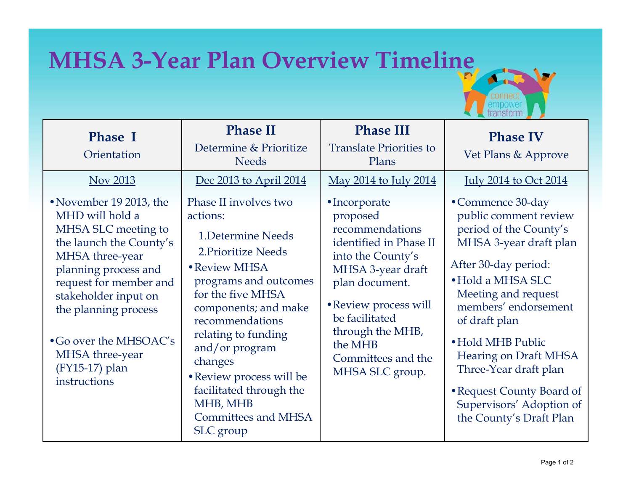## **MHSA 3-Year Plan Overview Timeline**

| <b>Phase I</b><br>Orientation                                                                                                                                                                                                                                                                               | <b>Phase II</b><br>Determine & Prioritize<br><b>Needs</b>                                                                                                                                                                                                                                                                                                               | <b>Phase III</b><br><b>Translate Priorities to</b><br>Plans                                                                                                                                                                                                                          | <b>Phase IV</b><br>Vet Plans & Approve                                                                                                                                                                                                                                                                                                                                                                       |
|-------------------------------------------------------------------------------------------------------------------------------------------------------------------------------------------------------------------------------------------------------------------------------------------------------------|-------------------------------------------------------------------------------------------------------------------------------------------------------------------------------------------------------------------------------------------------------------------------------------------------------------------------------------------------------------------------|--------------------------------------------------------------------------------------------------------------------------------------------------------------------------------------------------------------------------------------------------------------------------------------|--------------------------------------------------------------------------------------------------------------------------------------------------------------------------------------------------------------------------------------------------------------------------------------------------------------------------------------------------------------------------------------------------------------|
| Nov 2013<br>• November 19 2013, the<br>MHD will hold a<br>MHSA SLC meeting to<br>the launch the County's<br>MHSA three-year<br>planning process and<br>request for member and<br>stakeholder input on<br>the planning process<br>•Go over the MHSOAC's<br>MHSA three-year<br>(FY15-17) plan<br>instructions | Dec 2013 to April 2014<br>Phase II involves two<br>actions:<br>1. Determine Needs<br>2. Prioritize Needs<br>• Review MHSA<br>programs and outcomes<br>for the five MHSA<br>components; and make<br>recommendations<br>relating to funding<br>and/or program<br>changes<br>• Review process will be<br>facilitated through the<br>MHB, MHB<br><b>Committees and MHSA</b> | <u>May 2014 to July 2014</u><br>•Incorporate<br>proposed<br>recommendations<br>identified in Phase II<br>into the County's<br>MHSA 3-year draft<br>plan document.<br>• Review process will<br>be facilitated<br>through the MHB,<br>the MHB<br>Committees and the<br>MHSA SLC group. | <u>July 2014 to Oct 2014</u><br>•Commence 30-day<br>public comment review<br>period of the County's<br>MHSA 3-year draft plan<br>After 30-day period:<br>• Hold a MHSA SLC<br>Meeting and request<br>members' endorsement<br>of draft plan<br>• Hold MHB Public<br><b>Hearing on Draft MHSA</b><br>Three-Year draft plan<br>• Request County Board of<br>Supervisors' Adoption of<br>the County's Draft Plan |
|                                                                                                                                                                                                                                                                                                             | SLC group                                                                                                                                                                                                                                                                                                                                                               |                                                                                                                                                                                                                                                                                      |                                                                                                                                                                                                                                                                                                                                                                                                              |

 $\mathbf{p}$